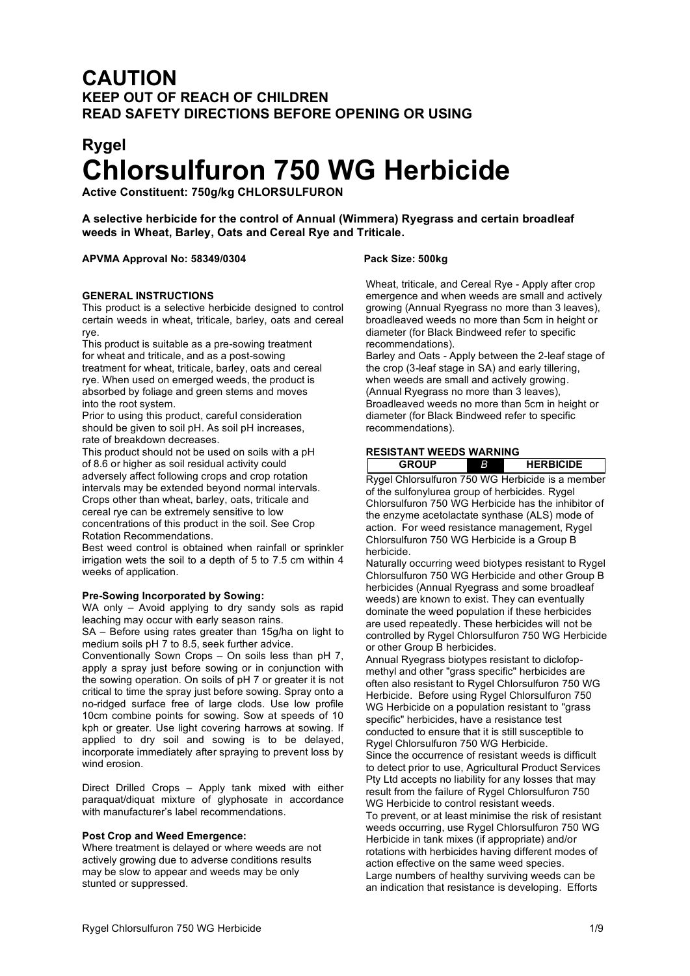# **CAUTION KEEP OUT OF REACH OF CHILDREN READ SAFETY DIRECTIONS BEFORE OPENING OR USING**

# **Rygel Chlorsulfuron 750 WG Herbicide**

**Active Constituent: 750g/kg CHLORSULFURON**

**A selective herbicide for the control of Annual (Wimmera) Ryegrass and certain broadleaf weeds in Wheat, Barley, Oats and Cereal Rye and Triticale.**

#### **APVMA Approval No: 58349/0304 Pack Size: 500kg**

#### **GENERAL INSTRUCTIONS**

This product is a selective herbicide designed to control certain weeds in wheat, triticale, barley, oats and cereal rye.

This product is suitable as a pre-sowing treatment for wheat and triticale, and as a post-sowing treatment for wheat, triticale, barley, oats and cereal rye. When used on emerged weeds, the product is absorbed by foliage and green stems and moves into the root system.

Prior to using this product, careful consideration should be given to soil pH. As soil pH increases, rate of breakdown decreases.

This product should not be used on soils with a pH of 8.6 or higher as soil residual activity could adversely affect following crops and crop rotation intervals may be extended beyond normal intervals. Crops other than wheat, barley, oats, triticale and cereal rye can be extremely sensitive to low concentrations of this product in the soil. See Crop Rotation Recommendations.

Best weed control is obtained when rainfall or sprinkler irrigation wets the soil to a depth of 5 to 7.5 cm within 4 weeks of application.

#### **Pre-Sowing Incorporated by Sowing:**

WA only – Avoid applying to dry sandy sols as rapid leaching may occur with early season rains.

SA – Before using rates greater than 15g/ha on light to medium soils pH 7 to 8.5, seek further advice.

Conventionally Sown Crops – On soils less than pH 7, apply a spray just before sowing or in conjunction with the sowing operation. On soils of pH 7 or greater it is not critical to time the spray just before sowing. Spray onto a no-ridged surface free of large clods. Use low profile 10cm combine points for sowing. Sow at speeds of 10 kph or greater. Use light covering harrows at sowing. If applied to dry soil and sowing is to be delayed, incorporate immediately after spraying to prevent loss by wind erosion.

Direct Drilled Crops – Apply tank mixed with either paraquat/diquat mixture of glyphosate in accordance with manufacturer's label recommendations.

#### **Post Crop and Weed Emergence:**

Where treatment is delayed or where weeds are not actively growing due to adverse conditions results may be slow to appear and weeds may be only stunted or suppressed.

Wheat, triticale, and Cereal Rye - Apply after crop emergence and when weeds are small and actively growing (Annual Ryegrass no more than 3 leaves), broadleaved weeds no more than 5cm in height or diameter (for Black Bindweed refer to specific recommendations).

Barley and Oats - Apply between the 2-leaf stage of the crop (3-leaf stage in SA) and early tillering, when weeds are small and actively growing. (Annual Ryegrass no more than 3 leaves), Broadleaved weeds no more than 5cm in height or diameter (for Black Bindweed refer to specific recommendations).

#### **RESISTANT WEEDS WARNING**

**GROUP** *BB* **HERBICIDE** Rygel Chlorsulfuron 750 WG Herbicide is a member of the sulfonylurea group of herbicides. Rygel Chlorsulfuron 750 WG Herbicide has the inhibitor of the enzyme acetolactate synthase (ALS) mode of action. For weed resistance management, Rygel Chlorsulfuron 750 WG Herbicide is a Group B herbicide.

Naturally occurring weed biotypes resistant to Rygel Chlorsulfuron 750 WG Herbicide and other Group B herbicides (Annual Ryegrass and some broadleaf weeds) are known to exist. They can eventually dominate the weed population if these herbicides are used repeatedly. These herbicides will not be controlled by Rygel Chlorsulfuron 750 WG Herbicide or other Group B herbicides.

Annual Ryegrass biotypes resistant to diclofopmethyl and other "grass specific" herbicides are often also resistant to Rygel Chlorsulfuron 750 WG Herbicide. Before using Rygel Chlorsulfuron 750 WG Herbicide on a population resistant to "grass specific" herbicides, have a resistance test conducted to ensure that it is still susceptible to Rygel Chlorsulfuron 750 WG Herbicide. Since the occurrence of resistant weeds is difficult to detect prior to use, Agricultural Product Services Pty Ltd accepts no liability for any losses that may result from the failure of Rygel Chlorsulfuron 750 WG Herbicide to control resistant weeds. To prevent, or at least minimise the risk of resistant weeds occurring, use Rygel Chlorsulfuron 750 WG Herbicide in tank mixes (if appropriate) and/or rotations with herbicides having different modes of action effective on the same weed species. Large numbers of healthy surviving weeds can be an indication that resistance is developing. Efforts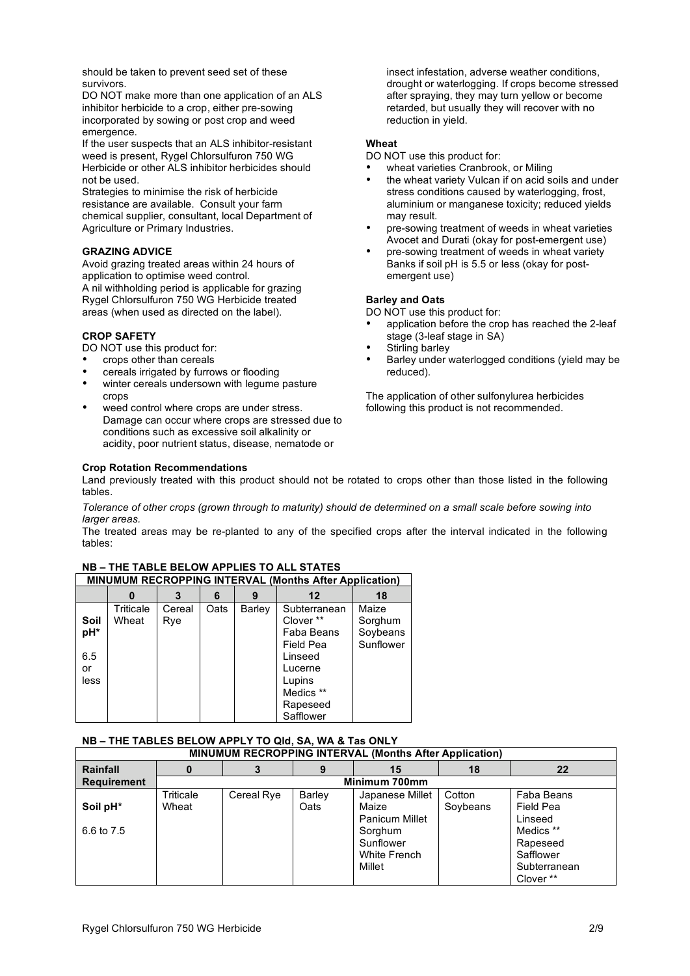should be taken to prevent seed set of these survivors.

DO NOT make more than one application of an ALS inhibitor herbicide to a crop, either pre-sowing incorporated by sowing or post crop and weed emergence.

If the user suspects that an ALS inhibitor-resistant weed is present, Rygel Chlorsulfuron 750 WG Herbicide or other ALS inhibitor herbicides should not be used.

Strategies to minimise the risk of herbicide resistance are available. Consult your farm chemical supplier, consultant, local Department of Agriculture or Primary Industries.

#### **GRAZING ADVICE**

Avoid grazing treated areas within 24 hours of application to optimise weed control. A nil withholding period is applicable for grazing Rygel Chlorsulfuron 750 WG Herbicide treated areas (when used as directed on the label).

#### **CROP SAFETY**

DO NOT use this product for:

- crops other than cereals
- cereals irrigated by furrows or flooding
- winter cereals undersown with legume pasture crops
- weed control where crops are under stress. Damage can occur where crops are stressed due to conditions such as excessive soil alkalinity or acidity, poor nutrient status, disease, nematode or

insect infestation, adverse weather conditions, drought or waterlogging. If crops become stressed after spraying, they may turn yellow or become retarded, but usually they will recover with no reduction in yield.

#### **Wheat**

DO NOT use this product for:

- wheat varieties Cranbrook, or Miling
- the wheat variety Vulcan if on acid soils and under stress conditions caused by waterlogging, frost, aluminium or manganese toxicity; reduced yields may result.
- pre-sowing treatment of weeds in wheat varieties Avocet and Durati (okay for post-emergent use)
- pre-sowing treatment of weeds in wheat variety Banks if soil pH is 5.5 or less (okay for postemergent use)

#### **Barley and Oats**

DO NOT use this product for:

- application before the crop has reached the 2-leaf stage (3-leaf stage in SA)
- Stirling barley
- Barley under waterlogged conditions (yield may be reduced).

The application of other sulfonylurea herbicides following this product is not recommended.

#### **Crop Rotation Recommendations**

Land previously treated with this product should not be rotated to crops other than those listed in the following tables.

Tolerance of other crops (grown through to maturity) should de determined on a small scale before sowing into *larger areas.*

The treated areas may be re-planted to any of the specified crops after the interval indicated in the following tables:

|                   | MINUMUM RECROPPING INTERVAL (Months After Application) |               |      |        |                                                                    |                                           |  |  |  |
|-------------------|--------------------------------------------------------|---------------|------|--------|--------------------------------------------------------------------|-------------------------------------------|--|--|--|
|                   | O                                                      | 3             | 6    | 9      | 12                                                                 | 18                                        |  |  |  |
| Soil<br>pH*       | Triticale<br>Wheat                                     | Cereal<br>Rve | Oats | Barley | Subterranean<br>Clover **<br>Faba Beans<br><b>Field Pea</b>        | Maize<br>Sorghum<br>Soybeans<br>Sunflower |  |  |  |
| 6.5<br>or<br>less |                                                        |               |      |        | Linseed<br>Lucerne<br>Lupins<br>Medics **<br>Rapeseed<br>Safflower |                                           |  |  |  |

## **NB – THE TABLE BELOW APPLIES TO ALL STATES**

#### **NB – THE TABLES BELOW APPLY TO Qld, SA, WA & Tas ONLY**

| MINUMUM RECROPPING INTERVAL (Months After Application) |           |            |        |                       |          |              |  |
|--------------------------------------------------------|-----------|------------|--------|-----------------------|----------|--------------|--|
| Rainfall                                               |           |            | 9      | 15                    | 18       | $22 \,$      |  |
| <b>Requirement</b>                                     |           |            |        | Minimum 700mm         |          |              |  |
|                                                        | Triticale | Cereal Rye | Barley | Japanese Millet       | Cotton   | Faba Beans   |  |
| Soil pH*                                               | Wheat     |            | Oats   | Maize                 | Soybeans | Field Pea    |  |
|                                                        |           |            |        | <b>Panicum Millet</b> |          | Linseed      |  |
| 6.6 to 7.5                                             |           |            |        | Sorghum               |          | Medics **    |  |
|                                                        |           |            |        | Sunflower             |          | Rapeseed     |  |
|                                                        |           |            |        | White French          |          | Safflower    |  |
|                                                        |           |            |        | Millet                |          | Subterranean |  |
|                                                        |           |            |        |                       |          | Clover **    |  |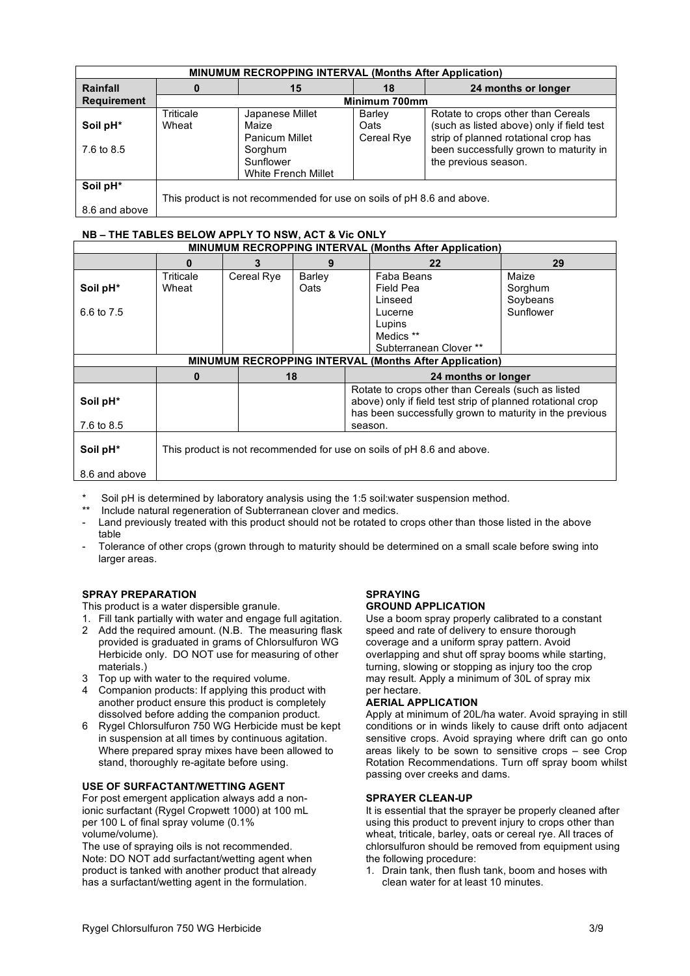| <b>MINUMUM RECROPPING INTERVAL (Months After Application)</b> |           |                                                                       |               |                                           |  |  |  |
|---------------------------------------------------------------|-----------|-----------------------------------------------------------------------|---------------|-------------------------------------------|--|--|--|
| Rainfall                                                      | 0         | 15                                                                    | 18            | 24 months or longer                       |  |  |  |
| <b>Requirement</b>                                            |           |                                                                       | Minimum 700mm |                                           |  |  |  |
|                                                               | Triticale | Japanese Millet                                                       | Barley        | Rotate to crops other than Cereals        |  |  |  |
| Soil pH <sup>*</sup>                                          | Wheat     | Maize                                                                 | Oats          | (such as listed above) only if field test |  |  |  |
|                                                               |           | <b>Panicum Millet</b>                                                 | Cereal Rye    | strip of planned rotational crop has      |  |  |  |
| 7.6 to 8.5                                                    |           | Sorghum                                                               |               | been successfully grown to maturity in    |  |  |  |
|                                                               |           | Sunflower                                                             |               | the previous season.                      |  |  |  |
|                                                               |           | White French Millet                                                   |               |                                           |  |  |  |
| Soil pH*                                                      |           |                                                                       |               |                                           |  |  |  |
|                                                               |           | This product is not recommended for use on soils of pH 8.6 and above. |               |                                           |  |  |  |
| 8.6 and above                                                 |           |                                                                       |               |                                           |  |  |  |

#### **NB – THE TABLES BELOW APPLY TO NSW, ACT & Vic ONLY**

| <b>MINUMUM RECROPPING INTERVAL (Months After Application)</b> |                                                                       |            |        |                     |                                                            |           |  |
|---------------------------------------------------------------|-----------------------------------------------------------------------|------------|--------|---------------------|------------------------------------------------------------|-----------|--|
|                                                               | O                                                                     | 3          | 9      |                     | 22                                                         | 29        |  |
|                                                               | Triticale                                                             | Cereal Rye | Barley |                     | Faba Beans                                                 | Maize     |  |
| Soil pH*                                                      | Wheat                                                                 |            | Oats   |                     | Field Pea                                                  | Sorghum   |  |
|                                                               |                                                                       |            |        |                     | Linseed                                                    | Soybeans  |  |
| 6.6 to 7.5                                                    |                                                                       |            |        |                     | Lucerne                                                    | Sunflower |  |
|                                                               |                                                                       |            |        |                     | Lupins                                                     |           |  |
|                                                               |                                                                       |            |        |                     | Medics **                                                  |           |  |
|                                                               |                                                                       |            |        |                     | Subterranean Clover **                                     |           |  |
|                                                               |                                                                       |            |        |                     | MINUMUM RECROPPING INTERVAL (Months After Application)     |           |  |
|                                                               | 0                                                                     | 18         |        | 24 months or longer |                                                            |           |  |
|                                                               |                                                                       |            |        |                     | Rotate to crops other than Cereals (such as listed         |           |  |
| Soil pH*                                                      |                                                                       |            |        |                     | above) only if field test strip of planned rotational crop |           |  |
|                                                               |                                                                       |            |        |                     | has been successfully grown to maturity in the previous    |           |  |
| 7.6 to 8.5                                                    |                                                                       |            |        | season.             |                                                            |           |  |
|                                                               |                                                                       |            |        |                     |                                                            |           |  |
| Soil pH*                                                      | This product is not recommended for use on soils of pH 8.6 and above. |            |        |                     |                                                            |           |  |
|                                                               |                                                                       |            |        |                     |                                                            |           |  |
| 8.6 and above                                                 |                                                                       |            |        |                     |                                                            |           |  |

- Soil pH is determined by laboratory analysis using the 1:5 soil:water suspension method.
- Include natural regeneration of Subterranean clover and medics.
- Land previously treated with this product should not be rotated to crops other than those listed in the above table
- Tolerance of other crops (grown through to maturity should be determined on a small scale before swing into larger areas.

#### **SPRAY PREPARATION**

This product is a water dispersible granule.

- 1. Fill tank partially with water and engage full agitation. Add the required amount. (N.B. The measuring flask provided is graduated in grams of Chlorsulfuron WG Herbicide only. DO NOT use for measuring of other materials.)
- 3 Top up with water to the required volume.
- 4 Companion products: If applying this product with another product ensure this product is completely dissolved before adding the companion product.
- 6 Rygel Chlorsulfuron 750 WG Herbicide must be kept in suspension at all times by continuous agitation. Where prepared spray mixes have been allowed to stand, thoroughly re-agitate before using.

#### **USE OF SURFACTANT/WETTING AGENT**

For post emergent application always add a nonionic surfactant (Rygel Cropwett 1000) at 100 mL per 100 L of final spray volume (0.1% volume/volume).

The use of spraying oils is not recommended. Note: DO NOT add surfactant/wetting agent when product is tanked with another product that already has a surfactant/wetting agent in the formulation.

### **SPRAYING**

#### **GROUND APPLICATION**

Use a boom spray properly calibrated to a constant speed and rate of delivery to ensure thorough coverage and a uniform spray pattern. Avoid overlapping and shut off spray booms while starting, turning, slowing or stopping as injury too the crop may result. Apply a minimum of 30L of spray mix per hectare.

#### **AERIAL APPLICATION**

Apply at minimum of 20L/ha water. Avoid spraying in still conditions or in winds likely to cause drift onto adjacent sensitive crops. Avoid spraying where drift can go onto areas likely to be sown to sensitive crops – see Crop Rotation Recommendations. Turn off spray boom whilst passing over creeks and dams.

#### **SPRAYER CLEAN-UP**

It is essential that the sprayer be properly cleaned after using this product to prevent injury to crops other than wheat, triticale, barley, oats or cereal rye. All traces of chlorsulfuron should be removed from equipment using the following procedure:

1. Drain tank, then flush tank, boom and hoses with clean water for at least 10 minutes.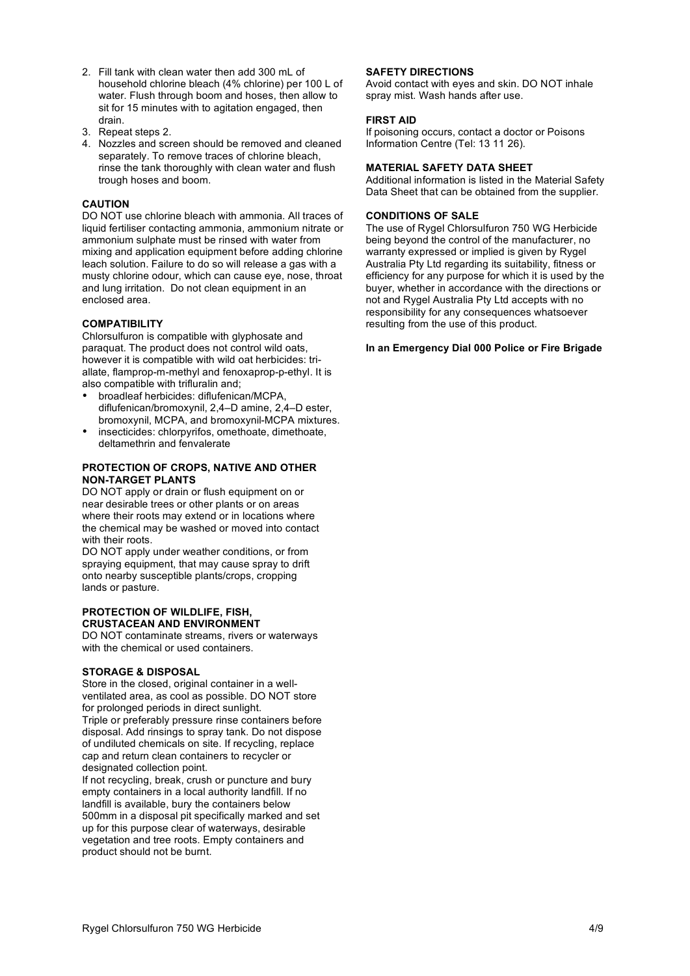- 2. Fill tank with clean water then add 300 mL of household chlorine bleach (4% chlorine) per 100 L of water. Flush through boom and hoses, then allow to sit for 15 minutes with to agitation engaged, then drain.
- 3. Repeat steps 2.
- 4. Nozzles and screen should be removed and cleaned separately. To remove traces of chlorine bleach, rinse the tank thoroughly with clean water and flush trough hoses and boom.

#### **CAUTION**

DO NOT use chlorine bleach with ammonia. All traces of liquid fertiliser contacting ammonia, ammonium nitrate or ammonium sulphate must be rinsed with water from mixing and application equipment before adding chlorine leach solution. Failure to do so will release a gas with a musty chlorine odour, which can cause eye, nose, throat and lung irritation. Do not clean equipment in an enclosed area.

#### **COMPATIBILITY**

Chlorsulfuron is compatible with glyphosate and paraquat. The product does not control wild oats, however it is compatible with wild oat herbicides: triallate, flamprop-m-methyl and fenoxaprop-p-ethyl. It is also compatible with trifluralin and;

- broadleaf herbicides: diflufenican/MCPA, diflufenican/bromoxynil, 2,4–D amine, 2,4–D ester, bromoxynil, MCPA, and bromoxynil-MCPA mixtures.
- insecticides: chlorpyrifos, omethoate, dimethoate, deltamethrin and fenvalerate

#### **PROTECTION OF CROPS, NATIVE AND OTHER NON-TARGET PLANTS**

DO NOT apply or drain or flush equipment on or near desirable trees or other plants or on areas where their roots may extend or in locations where the chemical may be washed or moved into contact with their roots.

DO NOT apply under weather conditions, or from spraying equipment, that may cause spray to drift onto nearby susceptible plants/crops, cropping lands or pasture.

### **PROTECTION OF WILDLIFE, FISH, CRUSTACEAN AND ENVIRONMENT**

DO NOT contaminate streams, rivers or waterways with the chemical or used containers.

#### **STORAGE & DISPOSAL**

Store in the closed, original container in a wellventilated area, as cool as possible. DO NOT store for prolonged periods in direct sunlight. Triple or preferably pressure rinse containers before disposal. Add rinsings to spray tank. Do not dispose of undiluted chemicals on site. If recycling, replace cap and return clean containers to recycler or designated collection point.

If not recycling, break, crush or puncture and bury empty containers in a local authority landfill. If no landfill is available, bury the containers below 500mm in a disposal pit specifically marked and set up for this purpose clear of waterways, desirable vegetation and tree roots. Empty containers and product should not be burnt.

#### **SAFETY DIRECTIONS**

Avoid contact with eyes and skin. DO NOT inhale spray mist. Wash hands after use.

#### **FIRST AID**

If poisoning occurs, contact a doctor or Poisons Information Centre (Tel: 13 11 26).

#### **MATERIAL SAFETY DATA SHEET**

Additional information is listed in the Material Safety Data Sheet that can be obtained from the supplier.

#### **CONDITIONS OF SALE**

The use of Rygel Chlorsulfuron 750 WG Herbicide being beyond the control of the manufacturer, no warranty expressed or implied is given by Rygel Australia Pty Ltd regarding its suitability, fitness or efficiency for any purpose for which it is used by the buyer, whether in accordance with the directions or not and Rygel Australia Pty Ltd accepts with no responsibility for any consequences whatsoever resulting from the use of this product.

#### **In an Emergency Dial 000 Police or Fire Brigade**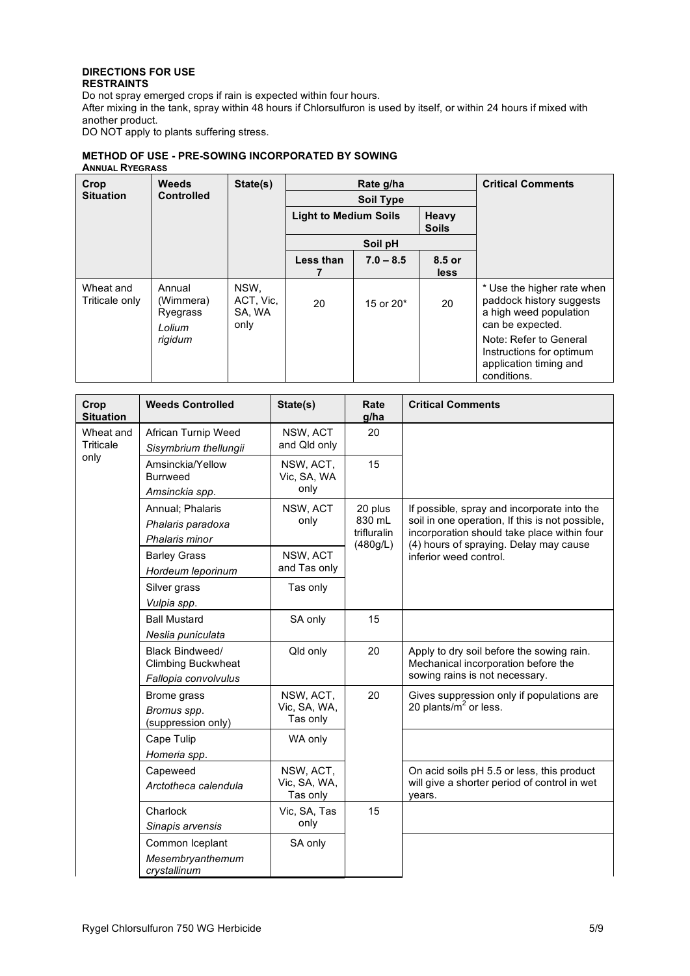#### **DIRECTIONS FOR USE RESTRAINTS**

Do not spray emerged crops if rain is expected within four hours. After mixing in the tank, spray within 48 hours if Chlorsulfuron is used by itself, or within 24 hours if mixed with another product. DO NOT apply to plants suffering stress.

#### **METHOD OF USE - PRE-SOWING INCORPORATED BY SOWING ANNUAL RYEGRASS**

| Weeds<br>Crop<br><b>Situation</b><br><b>Controlled</b> |                                                      | State(s)                            |                                                       | Rate g/ha<br><b>Soil Type</b> | <b>Critical Comments</b> |                                                                                                                                                                                                     |
|--------------------------------------------------------|------------------------------------------------------|-------------------------------------|-------------------------------------------------------|-------------------------------|--------------------------|-----------------------------------------------------------------------------------------------------------------------------------------------------------------------------------------------------|
|                                                        |                                                      |                                     | <b>Light to Medium Soils</b><br>Heavy<br><b>Soils</b> |                               |                          |                                                                                                                                                                                                     |
|                                                        |                                                      |                                     | Soil pH                                               |                               |                          |                                                                                                                                                                                                     |
|                                                        |                                                      |                                     | Less than                                             | $7.0 - 8.5$                   | 8.5 or<br>less           |                                                                                                                                                                                                     |
| Wheat and<br>Triticale only                            | Annual<br>(Wimmera)<br>Ryegrass<br>Lolium<br>rigidum | NSW,<br>ACT, Vic,<br>SA, WA<br>only | 20                                                    | 15 or 20 <sup>*</sup>         | 20                       | * Use the higher rate when<br>paddock history suggests<br>a high weed population<br>can be expected.<br>Note: Refer to General<br>Instructions for optimum<br>application timing and<br>conditions. |

| Crop<br><b>Situation</b> | <b>Weeds Controlled</b>                                                                   | State(s)                              | Rate<br>g/ha                                 | <b>Critical Comments</b>                                                                                                                      |
|--------------------------|-------------------------------------------------------------------------------------------|---------------------------------------|----------------------------------------------|-----------------------------------------------------------------------------------------------------------------------------------------------|
| Wheat and                | African Turnip Weed                                                                       | NSW, ACT                              | 20                                           |                                                                                                                                               |
| Triticale                | Sisymbrium thellungii                                                                     | and Qld only                          |                                              |                                                                                                                                               |
| only                     | Amsinckia/Yellow<br><b>Burrweed</b><br>Amsinckia spp.                                     | NSW, ACT,<br>Vic, SA, WA<br>only      | 15                                           |                                                                                                                                               |
|                          | Annual; Phalaris<br>Phalaris paradoxa<br>Phalaris minor                                   | NSW, ACT<br>only                      | 20 plus<br>830 mL<br>trifluralin<br>(480g/L) | If possible, spray and incorporate into the<br>soil in one operation, If this is not possible,<br>incorporation should take place within four |
|                          | <b>Barley Grass</b><br>Hordeum leporinum                                                  | NSW, ACT<br>and Tas only              |                                              | (4) hours of spraying. Delay may cause<br>inferior weed control.                                                                              |
|                          | Silver grass<br>Vulpia spp.                                                               | Tas only                              |                                              |                                                                                                                                               |
|                          | <b>Ball Mustard</b><br>Neslia puniculata                                                  | SA only                               | 15                                           |                                                                                                                                               |
|                          | Black Bindweed/<br><b>Climbing Buckwheat</b><br>Fallopia convolvulus                      | Qld only                              | 20                                           | Apply to dry soil before the sowing rain.<br>Mechanical incorporation before the<br>sowing rains is not necessary.                            |
|                          | NSW, ACT,<br>Brome grass<br>Vic, SA, WA,<br>Bromus spp.<br>Tas only<br>(suppression only) |                                       | 20                                           | Gives suppression only if populations are<br>20 plants/ $m2$ or less.                                                                         |
|                          | Cape Tulip<br>Homeria spp.                                                                | WA only                               |                                              |                                                                                                                                               |
|                          | Capeweed<br>Arctotheca calendula                                                          | NSW, ACT,<br>Vic, SA, WA,<br>Tas only |                                              | On acid soils pH 5.5 or less, this product<br>will give a shorter period of control in wet<br>years.                                          |
|                          | Charlock<br>Sinapis arvensis                                                              | Vic, SA, Tas<br>only                  | 15                                           |                                                                                                                                               |
|                          | Common Iceplant<br>Mesembryanthemum<br>crystallinum                                       | SA only                               |                                              |                                                                                                                                               |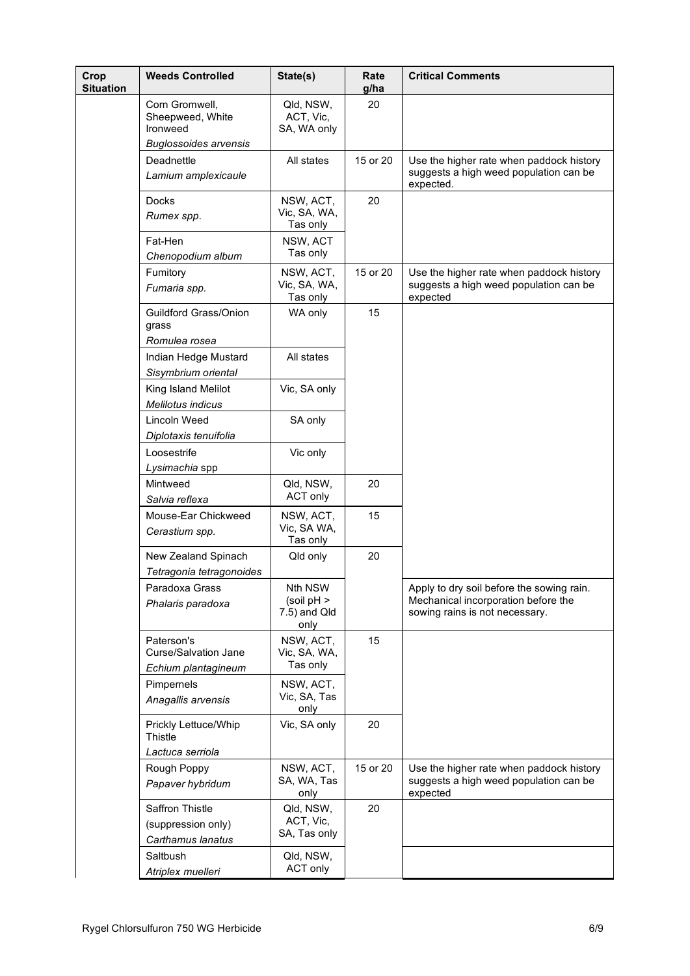| Crop<br><b>Situation</b> | <b>Weeds Controlled</b>                                    | State(s)                                      | Rate<br>g/ha | <b>Critical Comments</b>                                                                                           |
|--------------------------|------------------------------------------------------------|-----------------------------------------------|--------------|--------------------------------------------------------------------------------------------------------------------|
|                          | Corn Gromwell,<br>Sheepweed, White<br>Ironweed             | Qld, NSW,<br>ACT, Vic,<br>SA, WA only         | 20           |                                                                                                                    |
|                          | <b>Buglossoides arvensis</b>                               |                                               |              |                                                                                                                    |
|                          | Deadnettle<br>Lamium amplexicaule                          | All states                                    | 15 or 20     | Use the higher rate when paddock history<br>suggests a high weed population can be<br>expected.                    |
|                          | Docks<br>Rumex spp.                                        | NSW, ACT,<br>Vic, SA, WA,<br>Tas only         | 20           |                                                                                                                    |
|                          | Fat-Hen<br>Chenopodium album                               | NSW, ACT<br>Tas only                          |              |                                                                                                                    |
|                          | Fumitory                                                   | NSW, ACT,                                     | 15 or 20     | Use the higher rate when paddock history                                                                           |
|                          | Fumaria spp.                                               | Vic, SA, WA,<br>Tas only                      |              | suggests a high weed population can be<br>expected                                                                 |
|                          | Guildford Grass/Onion<br>grass<br>Romulea rosea            | WA only                                       | 15           |                                                                                                                    |
|                          | Indian Hedge Mustard<br>Sisymbrium oriental                | All states                                    |              |                                                                                                                    |
|                          | King Island Melilot<br>Melilotus indicus                   | Vic, SA only                                  |              |                                                                                                                    |
|                          | Lincoln Weed<br>Diplotaxis tenuifolia                      | SA only                                       |              |                                                                                                                    |
|                          | Loosestrife<br>Lysimachia spp                              | Vic only                                      |              |                                                                                                                    |
|                          | Mintweed<br>Salvia reflexa                                 | Qld, NSW,<br>ACT only                         | 20           |                                                                                                                    |
|                          | Mouse-Ear Chickweed<br>Cerastium spp.                      | NSW, ACT,<br>Vic, SA WA,<br>Tas only          | 15           |                                                                                                                    |
|                          | New Zealand Spinach<br>Tetragonia tetragonoides            | Qld only                                      | 20           |                                                                                                                    |
|                          | Paradoxa Grass<br>Phalaris paradoxa                        | Nth NSW<br>(soil pH ><br>7.5) and Qld<br>only |              | Apply to dry soil before the sowing rain.<br>Mechanical incorporation before the<br>sowing rains is not necessary. |
|                          | Paterson's<br>Curse/Salvation Jane<br>Echium plantagineum  | NSW, ACT,<br>Vic, SA, WA,<br>Tas only         | 15           |                                                                                                                    |
|                          | Pimpernels<br>Anagallis arvensis                           | NSW, ACT,<br>Vic, SA, Tas<br>only             |              |                                                                                                                    |
|                          | Prickly Lettuce/Whip<br>Thistle<br>Lactuca serriola        | Vic, SA only                                  | 20           |                                                                                                                    |
|                          | Rough Poppy<br>Papaver hybridum                            | NSW, ACT,<br>SA, WA, Tas<br>only              | 15 or 20     | Use the higher rate when paddock history<br>suggests a high weed population can be<br>expected                     |
|                          | Saffron Thistle<br>(suppression only)<br>Carthamus lanatus | Qld, NSW,<br>ACT, Vic,<br>SA, Tas only        | 20           |                                                                                                                    |
|                          | Saltbush<br>Atriplex muelleri                              | Qld, NSW,<br>ACT only                         |              |                                                                                                                    |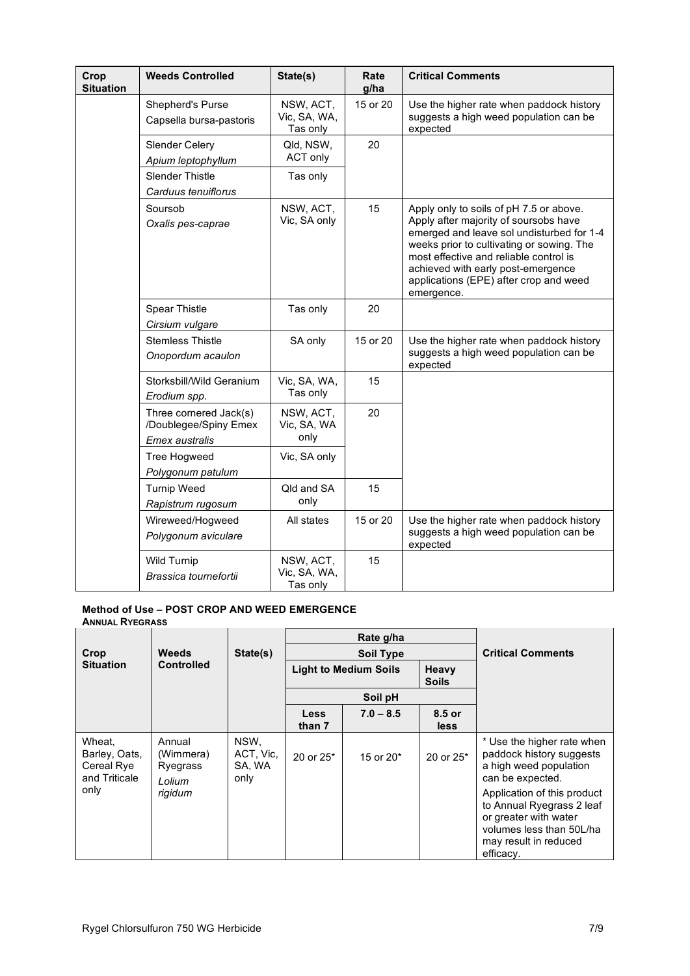| Crop<br><b>Situation</b> | <b>Weeds Controlled</b>                                           | State(s)                              | Rate<br>g/ha | <b>Critical Comments</b>                                                                                                                                                                                                                                                                                           |
|--------------------------|-------------------------------------------------------------------|---------------------------------------|--------------|--------------------------------------------------------------------------------------------------------------------------------------------------------------------------------------------------------------------------------------------------------------------------------------------------------------------|
|                          | Shepherd's Purse<br>Capsella bursa-pastoris                       | NSW, ACT,<br>Vic, SA, WA,<br>Tas only | 15 or 20     | Use the higher rate when paddock history<br>suggests a high weed population can be<br>expected                                                                                                                                                                                                                     |
|                          | Slender Celery<br>Apium leptophyllum                              | Qld, NSW,<br>ACT only                 | 20           |                                                                                                                                                                                                                                                                                                                    |
|                          | <b>Slender Thistle</b><br>Carduus tenuiflorus                     | Tas only                              |              |                                                                                                                                                                                                                                                                                                                    |
|                          | Soursob<br>Oxalis pes-caprae                                      | NSW, ACT,<br>Vic, SA only             | 15           | Apply only to soils of pH 7.5 or above.<br>Apply after majority of soursobs have<br>emerged and leave sol undisturbed for 1-4<br>weeks prior to cultivating or sowing. The<br>most effective and reliable control is<br>achieved with early post-emergence<br>applications (EPE) after crop and weed<br>emergence. |
|                          | Spear Thistle<br>Cirsium vulgare                                  | Tas only                              | 20           |                                                                                                                                                                                                                                                                                                                    |
|                          | <b>Stemless Thistle</b><br>Onopordum acaulon                      | SA only                               | 15 or 20     | Use the higher rate when paddock history<br>suggests a high weed population can be<br>expected                                                                                                                                                                                                                     |
|                          | Storksbill/Wild Geranium<br>Erodium spp.                          | Vic, SA, WA,<br>Tas only              | 15           |                                                                                                                                                                                                                                                                                                                    |
|                          | Three cornered Jack(s)<br>/Doublegee/Spiny Emex<br>Emex australis | NSW, ACT,<br>Vic, SA, WA<br>only      | 20           |                                                                                                                                                                                                                                                                                                                    |
|                          | Tree Hogweed<br>Polygonum patulum                                 | Vic, SA only                          |              |                                                                                                                                                                                                                                                                                                                    |
|                          | <b>Turnip Weed</b><br>Rapistrum rugosum                           | Qld and SA<br>only                    | 15           |                                                                                                                                                                                                                                                                                                                    |
|                          | Wireweed/Hogweed<br>Polygonum aviculare                           | All states                            | 15 or 20     | Use the higher rate when paddock history<br>suggests a high weed population can be<br>expected                                                                                                                                                                                                                     |
|                          | <b>Wild Turnip</b><br>Brassica tournefortii                       | NSW, ACT,<br>Vic, SA, WA,<br>Tas only | 15           |                                                                                                                                                                                                                                                                                                                    |

#### **Method of Use – POST CROP AND WEED EMERGENCE ANNUAL RYEGRASS** T

|                                                        |                                           |                                     |                              | Rate g/ha        |                          |                                                                                                                                                     |
|--------------------------------------------------------|-------------------------------------------|-------------------------------------|------------------------------|------------------|--------------------------|-----------------------------------------------------------------------------------------------------------------------------------------------------|
| Crop                                                   | <b>Weeds</b>                              | State(s)                            |                              | <b>Soil Type</b> | <b>Critical Comments</b> |                                                                                                                                                     |
| <b>Situation</b>                                       | <b>Controlled</b>                         |                                     | <b>Light to Medium Soils</b> |                  | Heavy<br><b>Soils</b>    |                                                                                                                                                     |
|                                                        |                                           |                                     |                              | Soil pH          |                          |                                                                                                                                                     |
|                                                        |                                           |                                     | <b>Less</b><br>than 7        | $7.0 - 8.5$      | 8.5 or<br>less           |                                                                                                                                                     |
| Wheat,<br>Barley, Oats,<br>Cereal Rye<br>and Triticale | Annual<br>(Wimmera)<br>Ryegrass<br>Lolium | NSW,<br>ACT, Vic,<br>SA, WA<br>only | 20 or $25*$                  | 15 or 20*        | 20 or 25*                | * Use the higher rate when<br>paddock history suggests<br>a high weed population<br>can be expected.                                                |
| only                                                   | rigidum                                   |                                     |                              |                  |                          | Application of this product<br>to Annual Ryegrass 2 leaf<br>or greater with water<br>volumes less than 50L/ha<br>may result in reduced<br>efficacy. |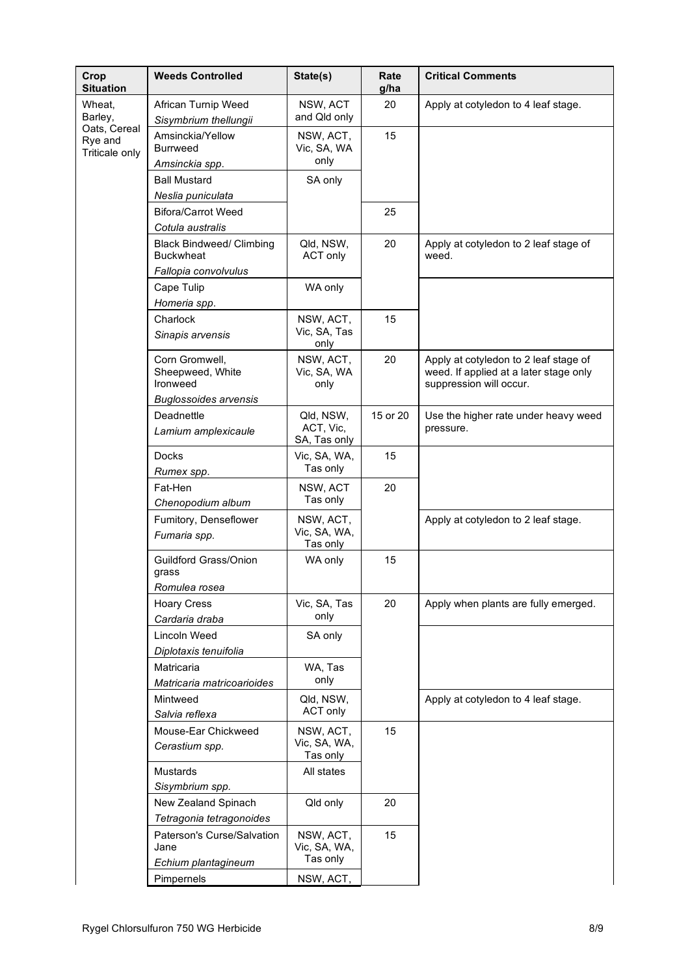| Crop<br><b>Situation</b>                  | <b>Weeds Controlled</b>                                                               | State(s)                               | Rate<br>g/ha | <b>Critical Comments</b>                                                                                   |
|-------------------------------------------|---------------------------------------------------------------------------------------|----------------------------------------|--------------|------------------------------------------------------------------------------------------------------------|
| Wheat,<br>Barley,                         | African Turnip Weed<br>Sisymbrium thellungii                                          | NSW, ACT<br>and Qld only               | 20           | Apply at cotyledon to 4 leaf stage.                                                                        |
| Oats, Cereal<br>Rye and<br>Triticale only | Amsinckia/Yellow<br><b>Burrweed</b><br>Amsinckia spp.                                 | NSW, ACT,<br>Vic, SA, WA<br>only       | 15           |                                                                                                            |
|                                           | <b>Ball Mustard</b><br>Neslia puniculata                                              | SA only                                |              |                                                                                                            |
|                                           | <b>Bifora/Carrot Weed</b><br>Cotula australis                                         |                                        | 25           |                                                                                                            |
|                                           | <b>Black Bindweed/ Climbing</b><br><b>Buckwheat</b>                                   | Qld, NSW,<br><b>ACT only</b>           | 20           | Apply at cotyledon to 2 leaf stage of<br>weed.                                                             |
|                                           | Fallopia convolvulus<br>Cape Tulip                                                    | WA only                                |              |                                                                                                            |
|                                           | Homeria spp.<br>Charlock<br>Sinapis arvensis                                          | NSW, ACT,<br>Vic, SA, Tas<br>only      | 15           |                                                                                                            |
|                                           | Corn Gromwell,<br>Sheepweed, White<br><b>Ironweed</b><br><b>Buglossoides arvensis</b> | NSW, ACT,<br>Vic, SA, WA<br>only       | 20           | Apply at cotyledon to 2 leaf stage of<br>weed. If applied at a later stage only<br>suppression will occur. |
|                                           | Deadnettle<br>Lamium amplexicaule                                                     | Qld, NSW,<br>ACT, Vic,<br>SA, Tas only | 15 or 20     | Use the higher rate under heavy weed<br>pressure.                                                          |
|                                           | <b>Docks</b><br>Rumex spp.                                                            | Vic, SA, WA,<br>Tas only               | 15           |                                                                                                            |
|                                           | Fat-Hen<br>Chenopodium album                                                          | NSW, ACT<br>Tas only                   | 20           |                                                                                                            |
|                                           | Fumitory, Denseflower<br>Fumaria spp.                                                 | NSW, ACT,<br>Vic, SA, WA,<br>Tas only  |              | Apply at cotyledon to 2 leaf stage.                                                                        |
|                                           | Guildford Grass/Onion<br>grass<br>Romulea rosea                                       | WA only                                | 15           |                                                                                                            |
|                                           | <b>Hoary Cress</b><br>Cardaria draba                                                  | Vic, SA, Tas<br>only                   | 20           | Apply when plants are fully emerged.                                                                       |
|                                           | Lincoln Weed<br>Diplotaxis tenuifolia                                                 | SA only                                |              |                                                                                                            |
|                                           | Matricaria<br>Matricaria matricoarioides                                              | WA, Tas<br>only                        |              |                                                                                                            |
|                                           | Mintweed<br>Salvia reflexa                                                            | Qld, NSW,<br>ACT only                  |              | Apply at cotyledon to 4 leaf stage.                                                                        |
|                                           | Mouse-Ear Chickweed<br>Cerastium spp.                                                 | NSW, ACT,<br>Vic, SA, WA,<br>Tas only  | 15           |                                                                                                            |
|                                           | Mustards<br>Sisymbrium spp.                                                           | All states                             |              |                                                                                                            |
|                                           | New Zealand Spinach<br>Tetragonia tetragonoides                                       | Qld only                               | 20           |                                                                                                            |
|                                           | Paterson's Curse/Salvation<br>Jane                                                    | NSW, ACT,<br>Vic, SA, WA,<br>Tas only  | 15           |                                                                                                            |
|                                           | Echium plantagineum<br>Pimpernels                                                     | NSW, ACT,                              |              |                                                                                                            |